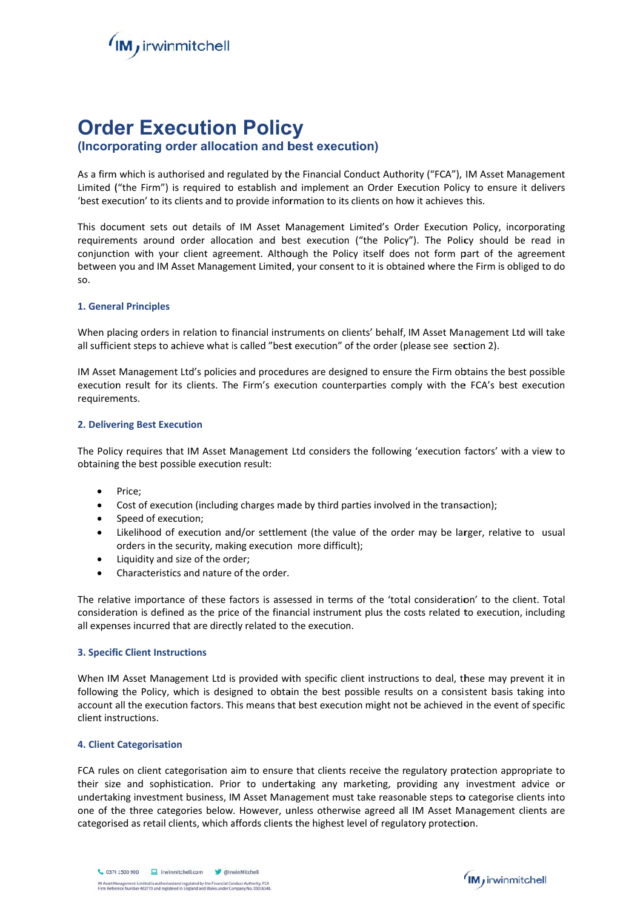

# **Order Execution Policy**

# (Incorporating order allocation and best execution)

As a firm which is authorised and regulated by the Financial Conduct Authority ("FCA"), IM Asset Management Limited ("the Firm") is required to establish and implement an Order Execution Policy to ensure it delivers 'best execution' to its clients and to provide information to its clients on how it achieves this.

This document sets out details of IM Asset Management Limited's Order Execution Policy, incorporating requirements around order allocation and best execution ("the Policy"). The Policy should be read in conjunction with your client agreement. Although the Policy itself does not form part of the agreement between you and IM Asset Management Limited, your consent to it is obtained where the Firm is obliged to do SO.

## **1. General Principles**

When placing orders in relation to financial instruments on clients' behalf, IM Asset Management Ltd will take all sufficient steps to achieve what is called "best execution" of the order (please see section 2).

IM Asset Management Ltd's policies and procedures are designed to ensure the Firm obtains the best possible execution result for its clients. The Firm's execution counterparties comply with the FCA's best execution requirements.

## **2. Delivering Best Execution**

The Policy requires that IM Asset Management Ltd considers the following 'execution factors' with a view to obtaining the best possible execution result:

- Price:  $\bullet$
- $\bullet$ Cost of execution (including charges made by third parties involved in the transaction);
- Speed of execution;  $\bullet$
- $\bullet$ Likelihood of execution and/or settlement (the value of the order may be larger, relative to usual orders in the security, making execution more difficult);
- Liquidity and size of the order;  $\bullet$
- Characteristics and nature of the order.

The relative importance of these factors is assessed in terms of the 'total consideration' to the client. Total consideration is defined as the price of the financial instrument plus the costs related to execution, including all expenses incurred that are directly related to the execution.

#### **3. Specific Client Instructions**

When IM Asset Management Ltd is provided with specific client instructions to deal, these may prevent it in following the Policy, which is designed to obtain the best possible results on a consistent basis taking into account all the execution factors. This means that best execution might not be achieved in the event of specific client instructions.

#### **4. Client Categorisation**

FCA rules on client categorisation aim to ensure that clients receive the regulatory protection appropriate to their size and sophistication. Prior to undertaking any marketing, providing any investment advice or undertaking investment business, IM Asset Management must take reasonable steps to categorise clients into one of the three categories below. However, unless otherwise agreed all IM Asset Management clients are categorised as retail clients, which affords clients the highest level of regulatory protection.

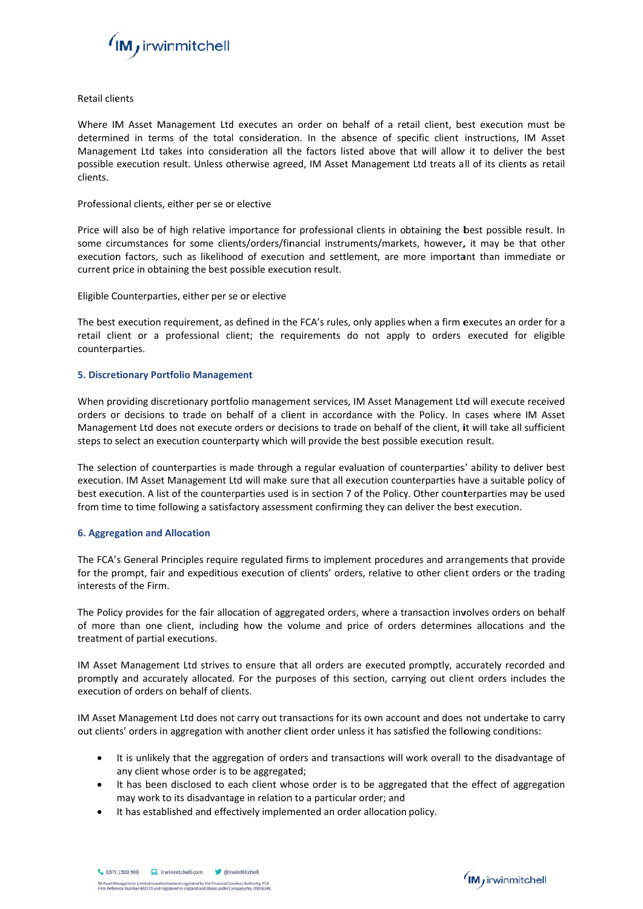

Retail clients

Where IM Asset Management Ltd executes an order on behalf of a retail client, best execution must be determined in terms of the total consideration. In the absence of specific client instructions, IM Asset Management Ltd takes into consideration all the factors listed above that will allow it to deliver the best possible execution result. Unless otherwise agreed, IM Asset Management Ltd treats all of its clients as retail clients.

# Professional clients, either per se or elective

Price will also be of high relative importance for professional clients in obtaining the best possible result. In some circumstances for some clients/orders/financial instruments/markets, however, it may be that other execution factors, such as likelihood of execution and settlement, are more important than immediate or current price in obtaining the best possible execution result.

Eligible C Counterparties s, either per s e or elective

The best execution requirement, as defined in the FCA's rules, only applies when a firm executes an order for a retail client or a professional client; the requirements do not apply to orders executed for eligible counterp parties.

## **5. Discretionary Portfolio Management**

When providing discretionary portfolio management services, IM Asset Management Ltd will execute received orders or decisions to trade on behalf of a client in accordance with the Policy. In cases where IM Asset Management Ltd does not execute orders or decisions to trade on behalf of the client, it will take all sufficient steps to select an execution counterparty which will provide the best possible execution result.

The selection of counterparties is made through a regular evaluation of counterparties' ability to deliver best execution. IM Asset Management Ltd will make sure that all execution counterparties have a suitable policy of best execution. A list of the counterparties used is in section 7 of the Policy. Other counterparties may be used from time to time following a satisfactory assessment confirming they can deliver the best execution.

# **6. Aggreg gation and Al location**

The FCA's General Principles require regulated firms to implement procedures and arrangements that provide for the prompt, fair and expeditious execution of clients' orders, relative to other client orders or the trading interests of the Firm.

The Policy provides for the fair allocation of aggregated orders, where a transaction involves orders on behalf of more than one client, including how the volume and price of orders determines allocations and the treatment of partial executions.

IM Asset Management Ltd strives to ensure that all orders are executed promptly, accurately recorded and promptly and accurately allocated. For the purposes of this section, carrying out client orders includes the execution of orders on behalf of clients.

IM Asset Management Ltd does not carry out transactions for its own account and does not undertake to carry out clients' orders in aggregation with another client order unless it has satisfied the following conditions:

- $\bullet$ It is unlikely that the aggregation of orders and transactions will work overall to the disadvantage of any client whose order is to be aggregated;
- It has been disclosed to each client whose order is to be aggregated that the effect of aggregation may work to its disadvantage in relation to a particular order; and
- $\bullet$ It has established and effectively implemented an order allocation policy.

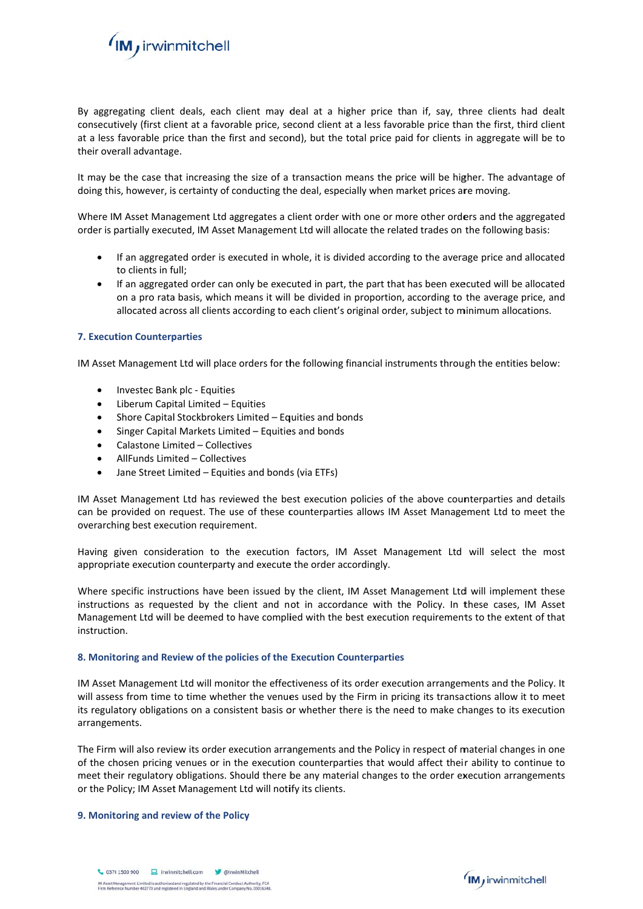

By aggregating client deals, each client may deal at a higher price than if, say, three clients had dealt consecutively (first client at a favorable price, second client at a less favorable price than the first, third client at a less favorable price than the first and second), but the total price paid for clients in aggregate will be to their overall advantage.

It may be the case that increasing the size of a transaction means the price will be higher. The advantage of doing this, however, is certainty of conducting the deal, especially when market prices are moving.

Where IM Asset Management Ltd aggregates a client order with one or more other orders and the aggregated order is partially executed, IM Asset Management Ltd will allocate the related trades on the following basis:

- If an aggregated order is executed in whole, it is divided according to the average price and allocated to clients in full:
- $\bullet$ If an aggregated order can only be executed in part, the part that has been executed will be allocated on a pro rata basis, which means it will be divided in proportion, according to the average price, and allocated across all clients according to each client's original order, subject to minimum allocations.

## **7. Execution Counterparties**

IM Asset Management Ltd will place orders for the following financial instruments through the entities below:

- Investec Bank plc Equities  $\bullet$
- Liberum Capital Limited Equities  $\bullet$
- Shore Capital Stockbrokers Limited Equities and bonds  $\bullet$
- Singer Capital Markets Limited Equities and bonds  $\bullet$
- Calastone Limited Collectives  $\bullet$
- AllFunds Limited Collectives  $\bullet$
- Jane Street Limited Equities and bonds (via ETFs)

IM Asset Management Ltd has reviewed the best execution policies of the above counterparties and details can be provided on request. The use of these counterparties allows IM Asset Management Ltd to meet the overarching best execution requirement.

Having given consideration to the execution factors, IM Asset Management Ltd will select the most appropriate execution counterparty and execute the order accordingly.

Where specific instructions have been issued by the client, IM Asset Management Ltd will implement these instructions as requested by the client and not in accordance with the Policy. In these cases, IM Asset Management Ltd will be deemed to have complied with the best execution requirements to the extent of that instruction.

#### 8. Monitoring and Review of the policies of the Execution Counterparties

IM Asset Management Ltd will monitor the effectiveness of its order execution arrangements and the Policy. It will assess from time to time whether the venues used by the Firm in pricing its transactions allow it to meet its regulatory obligations on a consistent basis or whether there is the need to make changes to its execution arrangements.

The Firm will also review its order execution arrangements and the Policy in respect of material changes in one of the chosen pricing venues or in the execution counterparties that would affect their ability to continue to meet their regulatory obligations. Should there be any material changes to the order execution arrangements or the Policy; IM Asset Management Ltd will notify its clients.

#### 9. Monitoring and review of the Policy